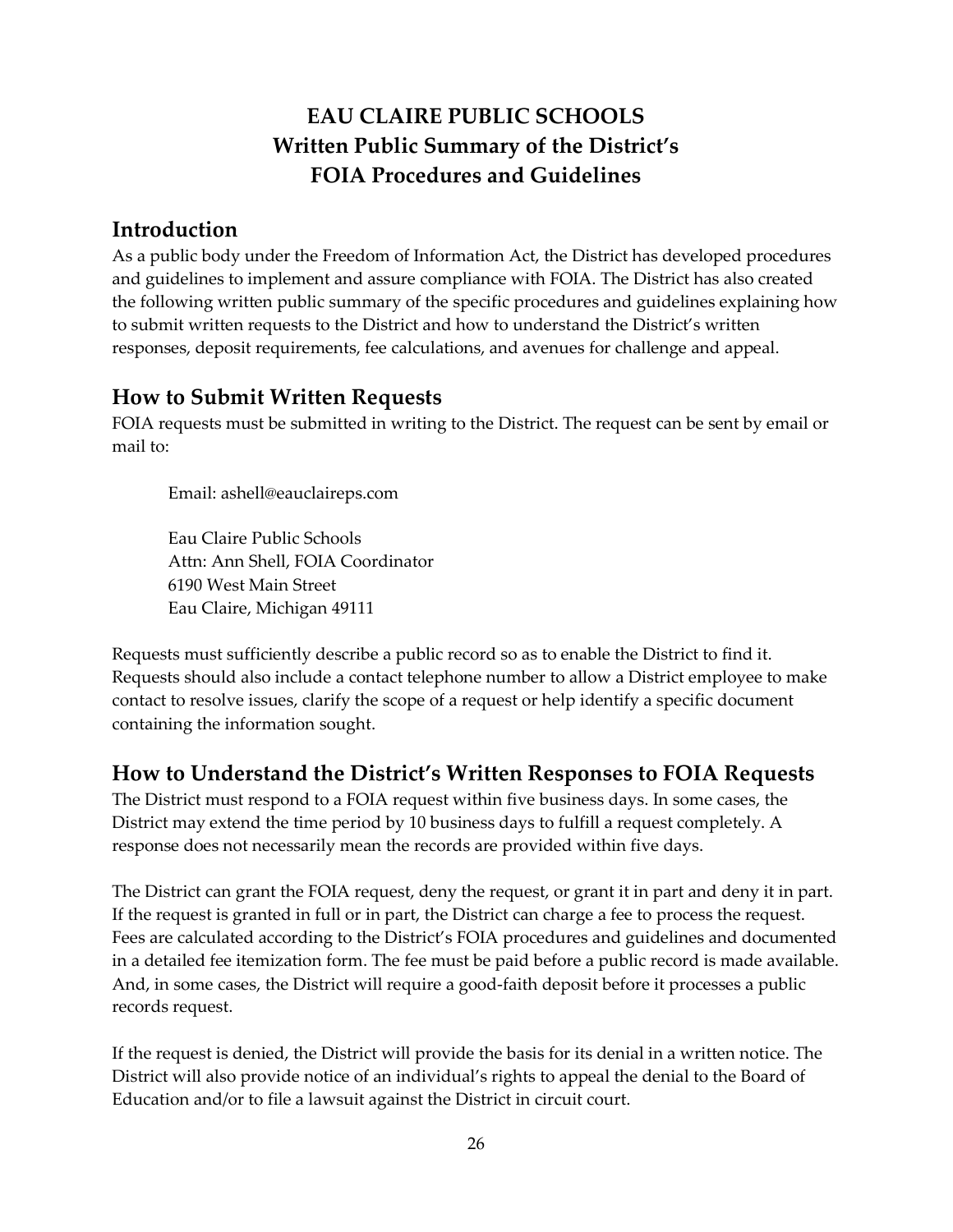# EAU CLAIRE PUBLIC SCHOOLS Written Public Summary of the District's FOIA Procedures and Guidelines

### Introduction

As a public body under the Freedom of Information Act, the District has developed procedures and guidelines to implement and assure compliance with FOIA. The District has also created the following written public summary of the specific procedures and guidelines explaining how to submit written requests to the District and how to understand the District's written responses, deposit requirements, fee calculations, and avenues for challenge and appeal.

#### How to Submit Written Requests

FOIA requests must be submitted in writing to the District. The request can be sent by email or mail to:

Email: ashell@eauclaireps.com

Eau Claire Public Schools Attn: Ann Shell, FOIA Coordinator 6190 West Main Street Eau Claire, Michigan 49111

Requests must sufficiently describe a public record so as to enable the District to find it. Requests should also include a contact telephone number to allow a District employee to make contact to resolve issues, clarify the scope of a request or help identify a specific document containing the information sought.

#### How to Understand the District's Written Responses to FOIA Requests

The District must respond to a FOIA request within five business days. In some cases, the District may extend the time period by 10 business days to fulfill a request completely. A response does not necessarily mean the records are provided within five days.

The District can grant the FOIA request, deny the request, or grant it in part and deny it in part. If the request is granted in full or in part, the District can charge a fee to process the request. Fees are calculated according to the District's FOIA procedures and guidelines and documented in a detailed fee itemization form. The fee must be paid before a public record is made available. And, in some cases, the District will require a good-faith deposit before it processes a public records request.

If the request is denied, the District will provide the basis for its denial in a written notice. The District will also provide notice of an individual's rights to appeal the denial to the Board of Education and/or to file a lawsuit against the District in circuit court.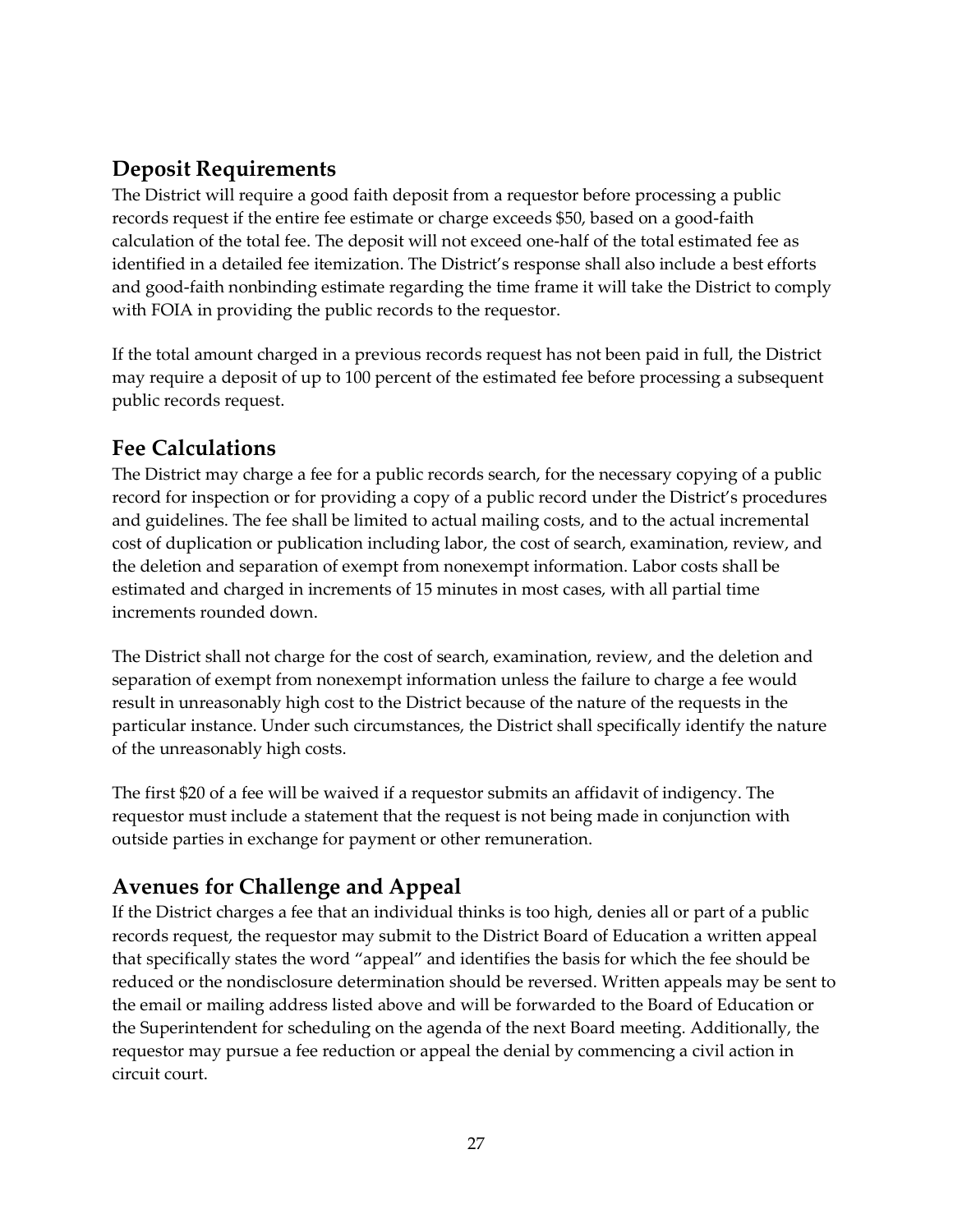### Deposit Requirements

The District will require a good faith deposit from a requestor before processing a public records request if the entire fee estimate or charge exceeds \$50, based on a good-faith calculation of the total fee. The deposit will not exceed one-half of the total estimated fee as identified in a detailed fee itemization. The District's response shall also include a best efforts and good-faith nonbinding estimate regarding the time frame it will take the District to comply with FOIA in providing the public records to the requestor.

If the total amount charged in a previous records request has not been paid in full, the District may require a deposit of up to 100 percent of the estimated fee before processing a subsequent public records request.

### Fee Calculations

The District may charge a fee for a public records search, for the necessary copying of a public record for inspection or for providing a copy of a public record under the District's procedures and guidelines. The fee shall be limited to actual mailing costs, and to the actual incremental cost of duplication or publication including labor, the cost of search, examination, review, and the deletion and separation of exempt from nonexempt information. Labor costs shall be estimated and charged in increments of 15 minutes in most cases, with all partial time increments rounded down.

The District shall not charge for the cost of search, examination, review, and the deletion and separation of exempt from nonexempt information unless the failure to charge a fee would result in unreasonably high cost to the District because of the nature of the requests in the particular instance. Under such circumstances, the District shall specifically identify the nature of the unreasonably high costs.

The first \$20 of a fee will be waived if a requestor submits an affidavit of indigency. The requestor must include a statement that the request is not being made in conjunction with outside parties in exchange for payment or other remuneration.

## Avenues for Challenge and Appeal

If the District charges a fee that an individual thinks is too high, denies all or part of a public records request, the requestor may submit to the District Board of Education a written appeal that specifically states the word "appeal" and identifies the basis for which the fee should be reduced or the nondisclosure determination should be reversed. Written appeals may be sent to the email or mailing address listed above and will be forwarded to the Board of Education or the Superintendent for scheduling on the agenda of the next Board meeting. Additionally, the requestor may pursue a fee reduction or appeal the denial by commencing a civil action in circuit court.